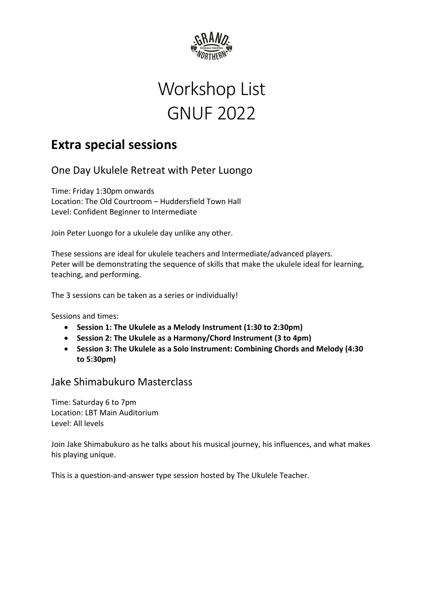

# Workshop List GNUF 2022

# **Extra special sessions**

One Day Ukulele Retreat with Peter Luongo

Time: Friday 1:30pm onwards Location: The Old Courtroom – Huddersfield Town Hall Level: Confident Beginner to Intermediate

Join Peter Luongo for a ukulele day unlike any other.

These sessions are ideal for ukulele teachers and Intermediate/advanced players. Peter will be demonstrating the sequence of skills that make the ukulele ideal for learning, teaching, and performing.

The 3 sessions can be taken as a series or individually!

Sessions and times:

- **Session 1: The Ukulele as a Melody Instrument (1:30 to 2:30pm)**
- **Session 2: The Ukulele as a Harmony/Chord Instrument (3 to 4pm)**
- **Session 3: The Ukulele as a Solo Instrument: Combining Chords and Melody (4:30 to 5:30pm)**

# Jake Shimabukuro Masterclass

Time: Saturday 6 to 7pm Location: LBT Main Auditorium Level: All levels

Join Jake Shimabukuro as he talks about his musical journey, his influences, and what makes his playing unique.

This is a question-and-answer type session hosted by The Ukulele Teacher.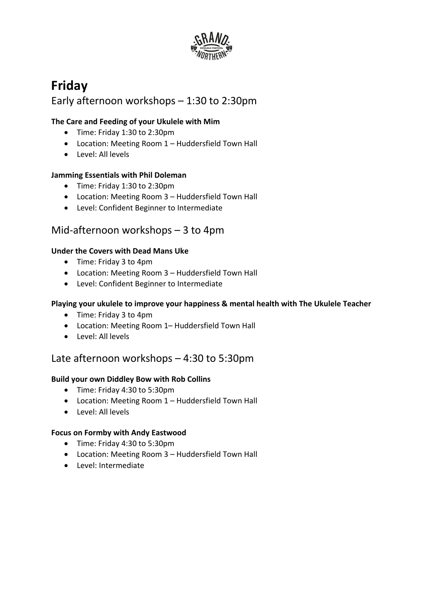

# **Friday** Early afternoon workshops – 1:30 to 2:30pm

#### **The Care and Feeding of your Ukulele with Mim**

- Time: Friday 1:30 to 2:30pm
- Location: Meeting Room 1 Huddersfield Town Hall
- Level: All levels

#### **Jamming Essentials with Phil Doleman**

- Time: Friday 1:30 to 2:30pm
- Location: Meeting Room 3 Huddersfield Town Hall
- Level: Confident Beginner to Intermediate

# Mid-afternoon workshops – 3 to 4pm

#### **Under the Covers with Dead Mans Uke**

- Time: Friday 3 to 4pm
- Location: Meeting Room 3 Huddersfield Town Hall
- Level: Confident Beginner to Intermediate

#### **Playing your ukulele to improve your happiness & mental health with The Ukulele Teacher**

- Time: Friday 3 to 4pm
- Location: Meeting Room 1– Huddersfield Town Hall
- Level: All levels

# Late afternoon workshops – 4:30 to 5:30pm

#### **Build your own Diddley Bow with Rob Collins**

- Time: Friday 4:30 to 5:30pm
- Location: Meeting Room 1 Huddersfield Town Hall
- Level: All levels

#### **Focus on Formby with Andy Eastwood**

- Time: Friday 4:30 to 5:30pm
- Location: Meeting Room 3 Huddersfield Town Hall
- Level: Intermediate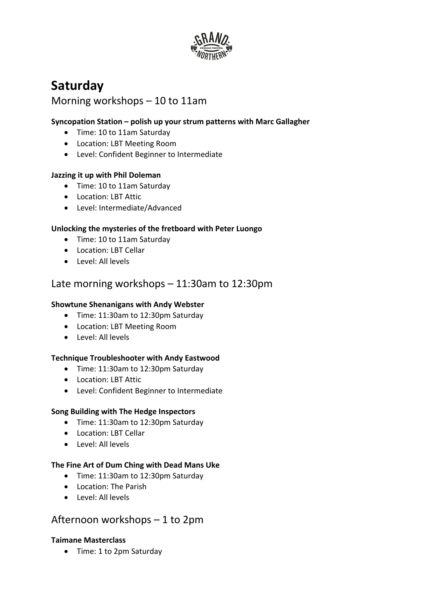

# **Saturday**

# Morning workshops – 10 to 11am

#### **Syncopation Station – polish up your strum patterns with Marc Gallagher**

- Time: 10 to 11am Saturday
- Location: LBT Meeting Room
- Level: Confident Beginner to Intermediate

#### **Jazzing it up with Phil Doleman**

- Time: 10 to 11am Saturday
- Location: LBT Attic
- Level: Intermediate/Advanced

#### **Unlocking the mysteries of the fretboard with Peter Luongo**

- Time: 10 to 11am Saturday
- Location: LBT Cellar
- Level: All levels

# Late morning workshops – 11:30am to 12:30pm

#### **Showtune Shenanigans with Andy Webster**

- Time: 11:30am to 12:30pm Saturday
- Location: LBT Meeting Room
- Level: All levels

#### **Technique Troubleshooter with Andy Eastwood**

- Time: 11:30am to 12:30pm Saturday
- Location: LBT Attic
- Level: Confident Beginner to Intermediate

#### **Song Building with The Hedge Inspectors**

- Time: 11:30am to 12:30pm Saturday
- Location: LBT Cellar
- Level: All levels

#### **The Fine Art of Dum Ching with Dead Mans Uke**

- Time: 11:30am to 12:30pm Saturday
- Location: The Parish
- Level: All levels

### Afternoon workshops – 1 to 2pm

#### **Taimane Masterclass**

• Time: 1 to 2pm Saturday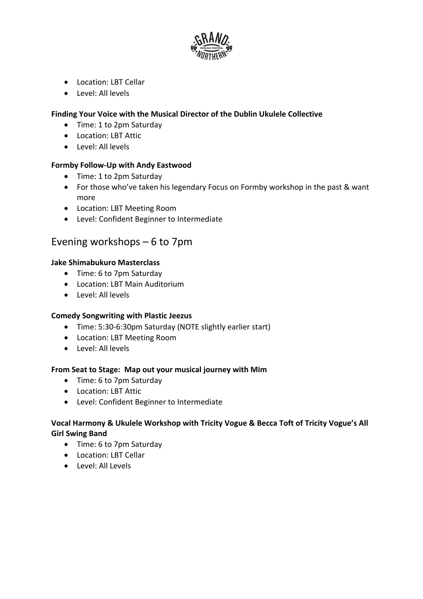

- Location: LBT Cellar
- Level: All levels

#### **Finding Your Voice with the Musical Director of the Dublin Ukulele Collective**

- Time: 1 to 2pm Saturday
- Location: LBT Attic
- Level: All levels

#### **Formby Follow-Up with Andy Eastwood**

- Time: 1 to 2pm Saturday
- For those who've taken his legendary Focus on Formby workshop in the past & want more
- Location: LBT Meeting Room
- Level: Confident Beginner to Intermediate

# Evening workshops – 6 to 7pm

#### **Jake Shimabukuro Masterclass**

- Time: 6 to 7pm Saturday
- Location: LBT Main Auditorium
- Level: All levels

#### **Comedy Songwriting with Plastic Jeezus**

- Time: 5:30-6:30pm Saturday (NOTE slightly earlier start)
- Location: LBT Meeting Room
- Level: All levels

#### **From Seat to Stage: Map out your musical journey with Mim**

- Time: 6 to 7pm Saturday
- Location: LBT Attic
- Level: Confident Beginner to Intermediate

#### **Vocal Harmony & Ukulele Workshop with Tricity Vogue & Becca Toft of Tricity Vogue's All Girl Swing Band**

- Time: 6 to 7pm Saturday
- Location: LBT Cellar
- Level: All Levels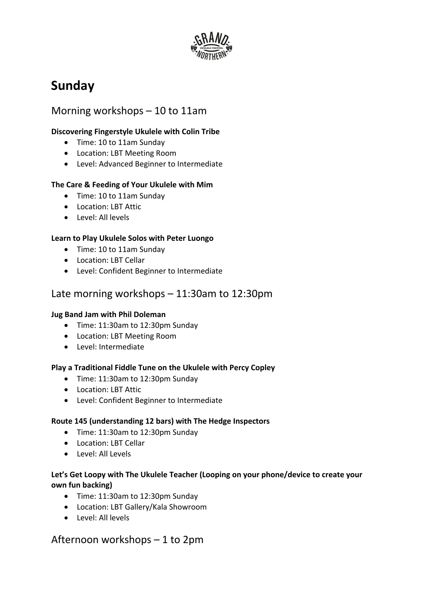

# **Sunday**

# Morning workshops – 10 to 11am

#### **Discovering Fingerstyle Ukulele with Colin Tribe**

- Time: 10 to 11am Sunday
- Location: LBT Meeting Room
- Level: Advanced Beginner to Intermediate

#### **The Care & Feeding of Your Ukulele with Mim**

- Time: 10 to 11am Sunday
- Location: LBT Attic
- Level: All levels

#### **Learn to Play Ukulele Solos with Peter Luongo**

- Time: 10 to 11am Sunday
- Location: LBT Cellar
- Level: Confident Beginner to Intermediate

# Late morning workshops – 11:30am to 12:30pm

#### **Jug Band Jam with Phil Doleman**

- Time: 11:30am to 12:30pm Sunday
- Location: LBT Meeting Room
- Level: Intermediate

#### **Play a Traditional Fiddle Tune on the Ukulele with Percy Copley**

- Time: 11:30am to 12:30pm Sunday
- Location: LBT Attic
- Level: Confident Beginner to Intermediate

#### **Route 145 (understanding 12 bars) with The Hedge Inspectors**

- Time: 11:30am to 12:30pm Sunday
- Location: LBT Cellar
- Level: All Levels

#### **Let's Get Loopy with The Ukulele Teacher (Looping on your phone/device to create your own fun backing)**

- Time: 11:30am to 12:30pm Sunday
- Location: LBT Gallery/Kala Showroom
- Level: All levels

### Afternoon workshops – 1 to 2pm